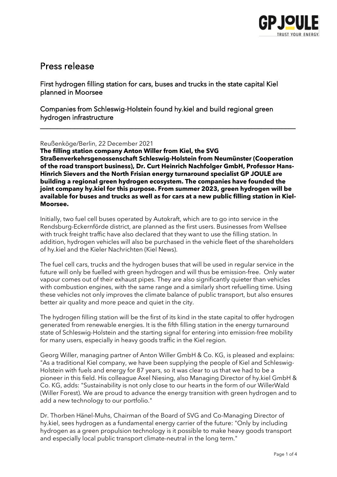

# Press release

First hydrogen filling station for cars, buses and trucks in the state capital Kiel planned in Moorsee

Companies from Schleswig-Holstein found hy.kiel and build regional green hydrogen infrastructure

Reußenköge/Berlin, 22 December 2021

**The filling station company Anton Willer from Kiel, the SVG Straßenverkehrsgenossenschaft Schleswig-Holstein from Neumünster (Cooperation of the road transport business), Dr. Curt Heinrich Nachfolger GmbH, Professor Hans-Hinrich Sievers and the North Frisian energy turnaround specialist GP JOULE are building a regional green hydrogen ecosystem. The companies have founded the joint company hy.kiel for this purpose. From summer 2023, green hydrogen will be available for buses and trucks as well as for cars at a new public filling station in Kiel-Moorsee.**

\_\_\_\_\_\_\_\_\_\_\_\_\_\_\_\_\_\_\_\_\_\_\_\_\_\_\_\_\_\_\_\_\_\_\_\_\_\_\_\_\_\_\_\_\_\_\_\_\_\_\_\_\_\_\_\_\_\_\_\_\_\_\_\_\_\_\_\_\_\_\_\_\_\_\_

Initially, two fuel cell buses operated by Autokraft, which are to go into service in the Rendsburg-Eckernförde district, are planned as the first users. Businesses from Wellsee with truck freight traffic have also declared that they want to use the filling station. In addition, hydrogen vehicles will also be purchased in the vehicle fleet of the shareholders of hy.kiel and the Kieler Nachrichten (Kiel News).

The fuel cell cars, trucks and the hydrogen buses that will be used in regular service in the future will only be fuelled with green hydrogen and will thus be emission-free. Only water vapour comes out of their exhaust pipes. They are also significantly quieter than vehicles with combustion engines, with the same range and a similarly short refuelling time. Using these vehicles not only improves the climate balance of public transport, but also ensures better air quality and more peace and quiet in the city.

The hydrogen filling station will be the first of its kind in the state capital to offer hydrogen generated from renewable energies. It is the fifth filling station in the energy turnaround state of Schleswig-Holstein and the starting signal for entering into emission-free mobility for many users, especially in heavy goods traffic in the Kiel region.

Georg Willer, managing partner of Anton Willer GmbH & Co. KG, is pleased and explains: "As a traditional Kiel company, we have been supplying the people of Kiel and Schleswig-Holstein with fuels and energy for 87 years, so it was clear to us that we had to be a pioneer in this field. His colleague Axel Niesing, also Managing Director of hy.kiel GmbH & Co. KG, adds: "Sustainability is not only close to our hearts in the form of our WillerWald (Willer Forest). We are proud to advance the energy transition with green hydrogen and to add a new technology to our portfolio."

Dr. Thorben Hänel-Muhs, Chairman of the Board of SVG and Co-Managing Director of hy.kiel, sees hydrogen as a fundamental energy carrier of the future: "Only by including hydrogen as a green propulsion technology is it possible to make heavy goods transport and especially local public transport climate-neutral in the long term."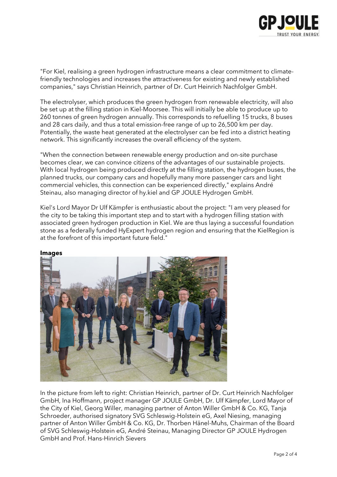

"For Kiel, realising a green hydrogen infrastructure means a clear commitment to climatefriendly technologies and increases the attractiveness for existing and newly established companies," says Christian Heinrich, partner of Dr. Curt Heinrich Nachfolger GmbH.

The electrolyser, which produces the green hydrogen from renewable electricity, will also be set up at the filling station in Kiel-Moorsee. This will initially be able to produce up to 260 tonnes of green hydrogen annually. This corresponds to refuelling 15 trucks, 8 buses and 28 cars daily, and thus a total emission-free range of up to 26,500 km per day. Potentially, the waste heat generated at the electrolyser can be fed into a district heating network. This significantly increases the overall efficiency of the system.

"When the connection between renewable energy production and on-site purchase becomes clear, we can convince citizens of the advantages of our sustainable projects. With local hydrogen being produced directly at the filling station, the hydrogen buses, the planned trucks, our company cars and hopefully many more passenger cars and light commercial vehicles, this connection can be experienced directly," explains André Steinau, also managing director of hy.kiel and GP JOULE Hydrogen GmbH.

Kiel's Lord Mayor Dr Ulf Kämpfer is enthusiastic about the project: "I am very pleased for the city to be taking this important step and to start with a hydrogen filling station with associated green hydrogen production in Kiel. We are thus laying a successful foundation stone as a federally funded HyExpert hydrogen region and ensuring that the KielRegion is at the forefront of this important future field."



**Images**

In the picture from left to right: Christian Heinrich, partner of Dr. Curt Heinrich Nachfolger GmbH, Ina Hoffmann, project manager GP JOULE GmbH, Dr. Ulf Kämpfer, Lord Mayor of the City of Kiel, Georg Willer, managing partner of Anton Willer GmbH & Co. KG, Tanja Schroeder, authorised signatory SVG Schleswig-Holstein eG, Axel Niesing, managing partner of Anton Willer GmbH & Co. KG, Dr. Thorben Hänel-Muhs, Chairman of the Board of SVG Schleswig-Holstein eG, André Steinau, Managing Director GP JOULE Hydrogen GmbH and Prof. Hans-Hinrich Sievers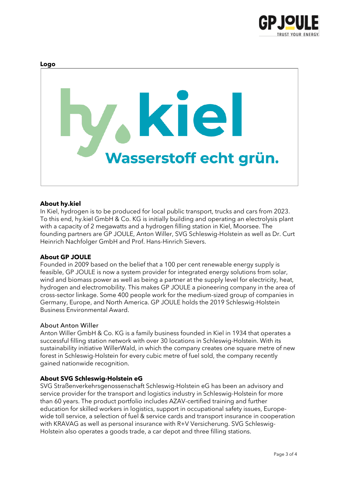

# **Logo** K Wasserstoff echt grün.

# **About hy.kiel**

In Kiel, hydrogen is to be produced for local public transport, trucks and cars from 2023. To this end, hy.kiel GmbH & Co. KG is initially building and operating an electrolysis plant with a capacity of 2 megawatts and a hydrogen filling station in Kiel, Moorsee. The founding partners are GP JOULE, Anton Willer, SVG Schleswig-Holstein as well as Dr. Curt Heinrich Nachfolger GmbH and Prof. Hans-Hinrich Sievers.

### **About GP JOULE**

Founded in 2009 based on the belief that a 100 per cent renewable energy supply is feasible, GP JOULE is now a system provider for integrated energy solutions from solar, wind and biomass power as well as being a partner at the supply level for electricity, heat, hydrogen and electromobility. This makes GP JOULE a pioneering company in the area of cross-sector linkage. Some 400 people work for the medium-sized group of companies in Germany, Europe, and North America. GP JOULE holds the 2019 Schleswig-Holstein Business Environmental Award.

#### About Anton Willer

Anton Willer GmbH & Co. KG is a family business founded in Kiel in 1934 that operates a successful filling station network with over 30 locations in Schleswig-Holstein. With its sustainability initiative WillerWald, in which the company creates one square metre of new forest in Schleswig-Holstein for every cubic metre of fuel sold, the company recently gained nationwide recognition.

#### **About SVG Schleswig-Holstein eG**

SVG Straßenverkehrsgenossenschaft Schleswig-Holstein eG has been an advisory and service provider for the transport and logistics industry in Schleswig-Holstein for more than 60 years. The product portfolio includes AZAV-certified training and further education for skilled workers in logistics, support in occupational safety issues, Europewide toll service, a selection of fuel & service cards and transport insurance in cooperation with KRAVAG as well as personal insurance with R+V Versicherung. SVG Schleswig-Holstein also operates a goods trade, a car depot and three filling stations.